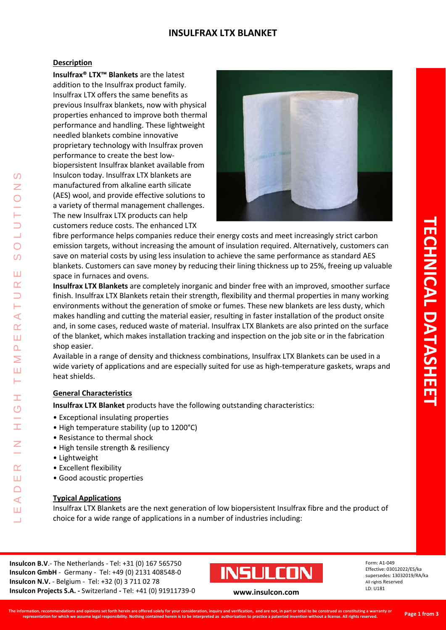# **INSULFRAX LTX BLANKET**

#### **Description**

**Insulfrax® LTX™ Blankets** are the latest addition to the Insulfrax product family. Insulfrax LTX offers the same benefits as previous Insulfrax blankets, now with physical properties enhanced to improve both thermal performance and handling. These lightweight needled blankets combine innovative proprietary technology with Insulfrax proven performance to create the best lowbiopersistent Insulfrax blanket available from Insulcon today. Insulfrax LTX blankets are manufactured from alkaline earth silicate (AES) wool, and provide effective solutions to a variety of thermal management challenges. The new Insulfrax LTX products can help customers reduce costs. The enhanced LTX



fibre performance helps companies reduce their energy costs and meet increasingly strict carbon emission targets, without increasing the amount of insulation required. Alternatively, customers can save on material costs by using less insulation to achieve the same performance as standard AES blankets. Customers can save money by reducing their lining thickness up to 25%, freeing up valuable space in furnaces and ovens.

**Insulfrax LTX Blankets** are completely inorganic and binder free with an improved, smoother surface finish. Insulfrax LTX Blankets retain their strength, flexibility and thermal properties in many working environments without the generation of smoke or fumes. These new blankets are less dusty, which makes handling and cutting the material easier, resulting in faster installation of the product onsite and, in some cases, reduced waste of material. Insulfrax LTX Blankets are also printed on the surface of the blanket, which makes installation tracking and inspection on the job site or in the fabrication shop easier.

Available in a range of density and thickness combinations, Insulfrax LTX Blankets can be used in a wide variety of applications and are especially suited for use as high-temperature gaskets, wraps and heat shields.

# **General Characteristics**

**Insulfrax LTX Blanket** products have the following outstanding characteristics:

- Exceptional insulating properties
- High temperature stability (up to 1200°C)
- Resistance to thermal shock
- High tensile strength & resiliency
- Lightweight

LEADER IN HIGH TEMPERATURE SOLUTIONS

 $\overline{O}$ 

 $\alpha$ Ш  $\cap$  $\blacktriangleleft$ Ш  $\overline{\phantom{0}}$ 

 $\blacktriangleleft$  $\alpha$ ш  $\overline{\mathbf{r}}$ ⋝ Ш ⊢

 $\Omega$ Z

 $\bigcirc$  $\Omega$ 

Ш  $\alpha$ 

- Excellent flexibility
- Good acoustic properties

# **Typical Applications**

Insulfrax LTX Blankets are the next generation of low biopersistent Insulfrax fibre and the product of choice for a wide range of applications in a number of industries including:

**Insulcon B.V**.- The Netherlands - Tel: +31 (0) 167 565750 **Insulcon GmbH** - Germany - Tel: +49 (0) 2131 408548-0 **Insulcon N.V.** - Belgium - Tel: +32 (0) 3 711 02 78 **Insulcon Projects S.A. -** Switzerland **-** Tel: +41 (0) 91911739-0 **[www.insulcon.com](http://www.insulcon.com/)**



Form: A1-049 Effective: 03012022/ES/ka supersedes: 13032019/RA/ka All rights Reserved LD: U181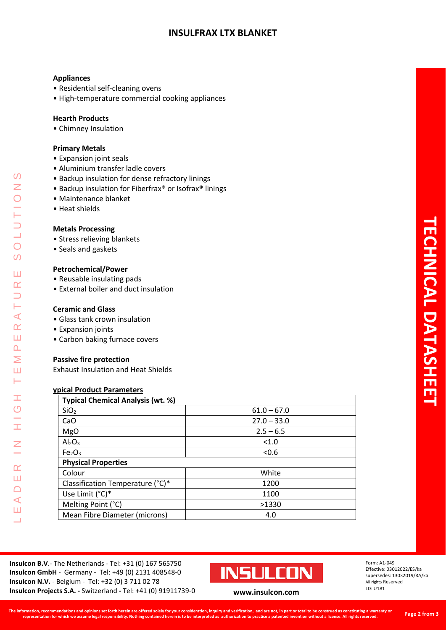# **INSULFRAX LTX BLANKET**

# **Appliances**

- Residential self-cleaning ovens
- High-temperature commercial cooking appliances

#### **Hearth Products**

• Chimney Insulation

#### **Primary Metals**

- Expansion joint seals
- Aluminium transfer ladle covers
- Backup insulation for dense refractory linings
- Backup insulation for Fiberfrax® or Isofrax® linings
- Maintenance blanket
- Heat shields

#### **Metals Processing**

- Stress relieving blankets
- Seals and gaskets

#### **Petrochemical/Power**

- Reusable insulating pads
- External boiler and duct insulation

## **Ceramic and Glass**

- Glass tank crown insulation
- Expansion joints

LEADER IN HIGH TEMPERATURE SOLUTIONS

Ŧ  $\circ$ 

İ

 $\overline{z}$ 

 $\alpha$ Ш  $\Box$  $\blacktriangleleft$ Ш  $\Box$ 

 $\blacktriangleleft$  $\alpha$ Ш  $\Delta$ Σ Ш **H** 

 $\Omega$  $\overline{z}$ 

 $\overline{O}$  $\Omega$ 

Ш  $\alpha$ 

• Carbon baking furnace covers

# **Passive fire protection**

Exhaust Insulation and Heat Shields

# **ypical Product Parameters**

| <b>Typical Chemical Analysis (wt. %)</b> |               |  |  |  |  |
|------------------------------------------|---------------|--|--|--|--|
| SiO <sub>2</sub>                         | $61.0 - 67.0$ |  |  |  |  |
| CaO                                      | $27.0 - 33.0$ |  |  |  |  |
| <b>MgO</b>                               | $2.5 - 6.5$   |  |  |  |  |
| Al <sub>2</sub> O <sub>3</sub>           | < 1.0         |  |  |  |  |
| Fe <sub>2</sub> O <sub>3</sub>           | < 0.6         |  |  |  |  |
| <b>Physical Properties</b>               |               |  |  |  |  |
| Colour                                   | White         |  |  |  |  |
| Classification Temperature (°C)*         | 1200          |  |  |  |  |
| Use Limit (°C)*                          | 1100          |  |  |  |  |
| Melting Point (°C)                       | >1330         |  |  |  |  |
| Mean Fibre Diameter (microns)            | 4.0           |  |  |  |  |

**Insulcon B.V**.- The Netherlands - Tel: +31 (0) 167 565750 **Insulcon GmbH** - Germany - Tel: +49 (0) 2131 408548-0 **Insulcon N.V.** - Belgium - Tel: +32 (0) 3 711 02 78 **Insulcon Projects S.A. -** Switzerland **-** Tel: +41 (0) 91911739-0 **[www.insulcon.com](http://www.insulcon.com/)**



Form: A1-049 Effective: 03012022/ES/ka supersedes: 13032019/RA/ka All rights Reserved LD: U181